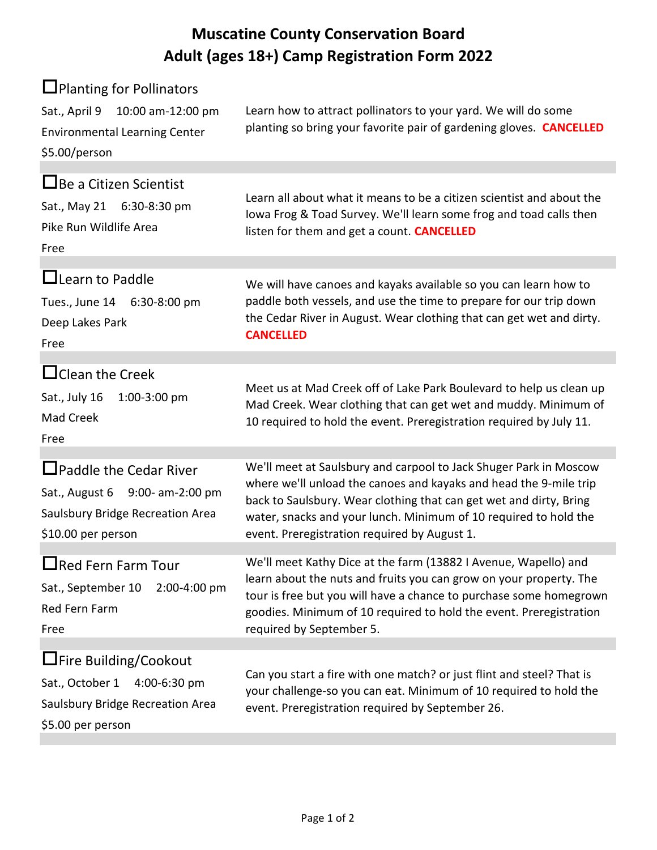## **Muscatine County Conservation Board Adult (ages 18+) Camp Registration Form 2022**

| $\Box$ Planting for Pollinators<br>Sat., April 9 10:00 am-12:00 pm<br><b>Environmental Learning Center</b><br>\$5.00/person | Learn how to attract pollinators to your yard. We will do some<br>planting so bring your favorite pair of gardening gloves. <b>CANCELLED</b>                                                                                                                                                                                     |
|-----------------------------------------------------------------------------------------------------------------------------|----------------------------------------------------------------------------------------------------------------------------------------------------------------------------------------------------------------------------------------------------------------------------------------------------------------------------------|
| $\Box$ Be a Citizen Scientist<br>Sat., May 21 6:30-8:30 pm<br>Pike Run Wildlife Area<br>Free                                | Learn all about what it means to be a citizen scientist and about the<br>lowa Frog & Toad Survey. We'll learn some frog and toad calls then<br>listen for them and get a count. CANCELLED                                                                                                                                        |
| $\Box$ Learn to Paddle<br>Tues., June 14 6:30-8:00 pm<br>Deep Lakes Park<br>Free                                            | We will have canoes and kayaks available so you can learn how to<br>paddle both vessels, and use the time to prepare for our trip down<br>the Cedar River in August. Wear clothing that can get wet and dirty.<br><b>CANCELLED</b>                                                                                               |
| $\Box$ Clean the Creek<br>Sat., July 16<br>1:00-3:00 pm<br>Mad Creek<br>Free                                                | Meet us at Mad Creek off of Lake Park Boulevard to help us clean up<br>Mad Creek. Wear clothing that can get wet and muddy. Minimum of<br>10 required to hold the event. Preregistration required by July 11.                                                                                                                    |
| $\Box$ Paddle the Cedar River<br>Sat., August 6 9:00- am-2:00 pm<br>Saulsbury Bridge Recreation Area<br>\$10.00 per person  | We'll meet at Saulsbury and carpool to Jack Shuger Park in Moscow<br>where we'll unload the canoes and kayaks and head the 9-mile trip<br>back to Saulsbury. Wear clothing that can get wet and dirty, Bring<br>water, snacks and your lunch. Minimum of 10 required to hold the<br>event. Preregistration required by August 1. |
| $\Box$ Red Fern Farm Tour<br>Sat., September 10<br>2:00-4:00 pm<br>Red Fern Farm<br>Free                                    | We'll meet Kathy Dice at the farm (13882 I Avenue, Wapello) and<br>learn about the nuts and fruits you can grow on your property. The<br>tour is free but you will have a chance to purchase some homegrown<br>goodies. Minimum of 10 required to hold the event. Preregistration<br>required by September 5.                    |
| <b>∐Fire Building/Cookout</b><br>Sat., October 1<br>4:00-6:30 pm<br>Saulsbury Bridge Recreation Area<br>\$5.00 per person   | Can you start a fire with one match? or just flint and steel? That is<br>your challenge-so you can eat. Minimum of 10 required to hold the<br>event. Preregistration required by September 26.                                                                                                                                   |